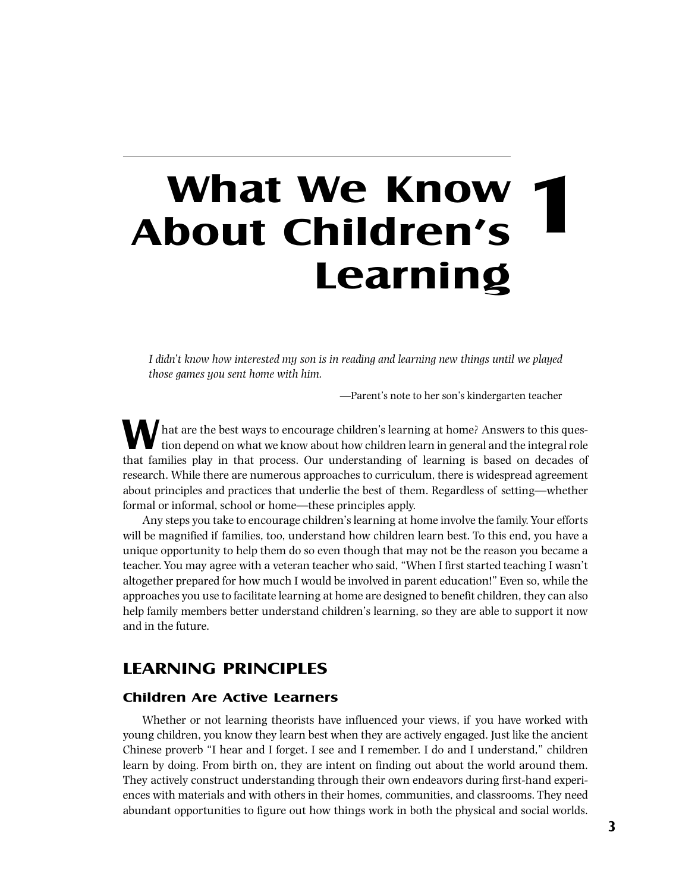# **What We Know About Children's Learning 1**

*I didn't know how interested my son is in reading and learning new things until we played those games you sent home with him.*

*—*Parent's note to her son's kindergarten teacher

**W** hat are the best ways to encourage children's learning at home? Answers to this question depend on what we know about how children learn in general and the integral rela tion depend on what we know about how children learn in general and the integral role that families play in that process. Our understanding of learning is based on decades of research. While there are numerous approaches to curriculum, there is widespread agreement about principles and practices that underlie the best of them. Regardless of setting—whether formal or informal, school or home—these principles apply.

Any steps you take to encourage children's learning at home involve the family. Your efforts will be magnified if families, too, understand how children learn best. To this end, you have a unique opportunity to help them do so even though that may not be the reason you became a teacher.You may agree with a veteran teacher who said, "When I first started teaching I wasn't altogether prepared for how much I would be involved in parent education!" Even so, while the approaches you use to facilitate learning at home are designed to benefit children, they can also help family members better understand children's learning, so they are able to support it now and in the future.

# **LEARNING PRINCIPLES**

# **Children Are Active Learners**

Whether or not learning theorists have influenced your views, if you have worked with young children, you know they learn best when they are actively engaged. Just like the ancient Chinese proverb "I hear and I forget. I see and I remember. I do and I understand," children learn by doing. From birth on, they are intent on finding out about the world around them. They actively construct understanding through their own endeavors during first-hand experiences with materials and with others in their homes, communities, and classrooms. They need abundant opportunities to figure out how things work in both the physical and social worlds.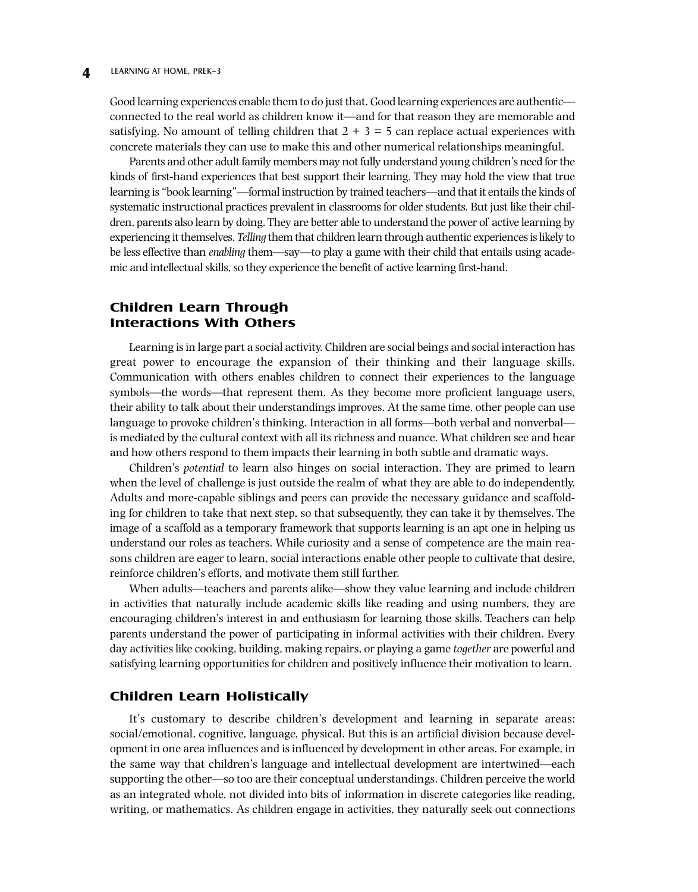Good learning experiences enable them to do just that. Good learning experiences are authentic connected to the real world as children know it—and for that reason they are memorable and satisfying. No amount of telling children that  $2 + 3 = 5$  can replace actual experiences with concrete materials they can use to make this and other numerical relationships meaningful.

Parents and other adult family members may not fully understand young children's need forthe kinds of first-hand experiences that best support their learning. They may hold the view that true learning is "book learning"—formal instruction by trained teachers—and that it entails the kinds of systematic instructional practices prevalent in classrooms for older students. But just like their children, parents also learn by doing. They are better able to understand the power of active learning by experiencing itthemselves. *Telling* them that children learn through authentic experiencesislikely to be less effective than *enabling* them—say—to play a game with their child that entails using academic and intellectual skills, so they experience the benefit of active learning first-hand.

# **Children Learn Through Interactions With Others**

Learning isin large part a social activity. Children are social beings and social interaction has great power to encourage the expansion of their thinking and their language skills. Communication with others enables children to connect their experiences to the language symbols—the words—that represent them. As they become more proficient language users, their ability to talk about their understandings improves. At the same time, other people can use language to provoke children's thinking. Interaction in all forms—both verbal and nonverbal is mediated by the cultural context with all its richness and nuance. What children see and hear and how others respond to them impacts their learning in both subtle and dramatic ways.

Children's *potential* to learn also hinges on social interaction. They are primed to learn when the level of challenge is just outside the realm of what they are able to do independently. Adults and more-capable siblings and peers can provide the necessary guidance and scaffolding for children to take that next step, so that subsequently, they can take it by themselves. The image of a scaffold as a temporary framework that supports learning is an apt one in helping us understand our roles as teachers. While curiosity and a sense of competence are the main reasons children are eager to learn, social interactions enable other people to cultivate that desire, reinforce children's efforts, and motivate them still further.

When adults—teachers and parents alike—show they value learning and include children in activities that naturally include academic skills like reading and using numbers, they are encouraging children's interest in and enthusiasm for learning those skills. Teachers can help parents understand the power of participating in informal activities with their children. Every day activities like cooking, building, making repairs, or playing a game *together* are powerful and satisfying learning opportunities for children and positively influence their motivation to learn.

# **Children Learn Holistically**

It's customary to describe children's development and learning in separate areas: social/emotional, cognitive, language, physical. But this is an artificial division because development in one area influences and is influenced by development in other areas. For example, in the same way that children's language and intellectual development are intertwined—each supporting the other—so too are their conceptual understandings. Children perceive the world as an integrated whole, not divided into bits of information in discrete categories like reading, writing, or mathematics. As children engage in activities, they naturally seek out connections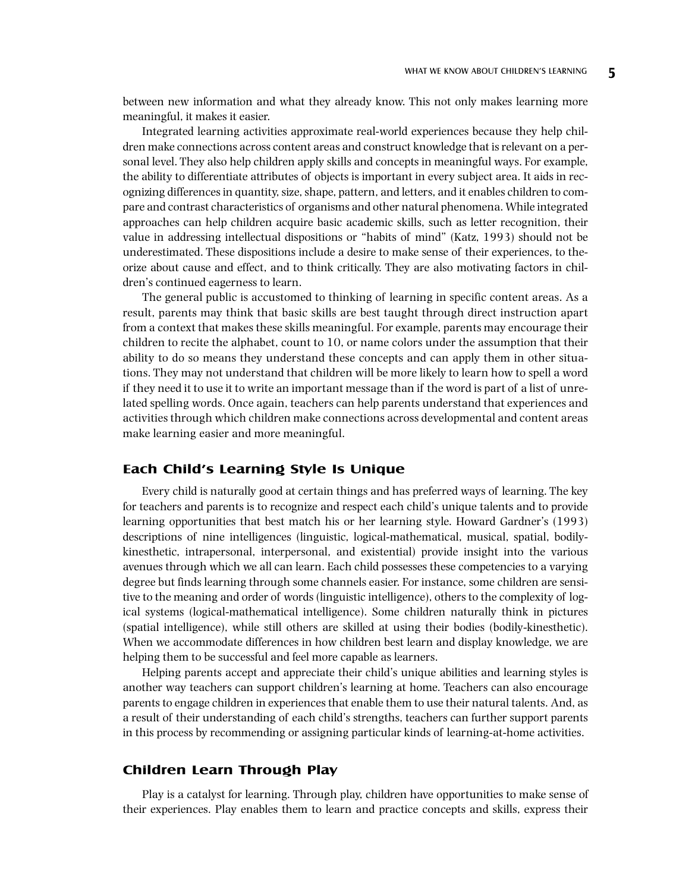between new information and what they already know. This not only makes learning more meaningful, it makes it easier.

Integrated learning activities approximate real-world experiences because they help children make connections across content areas and construct knowledge that is relevant on a personal level. They also help children apply skills and concepts in meaningful ways. For example, the ability to differentiate attributes of objects is important in every subject area. It aids in recognizing differences in quantity, size, shape, pattern, and letters, and it enables children to compare and contrast characteristics of organisms and other natural phenomena. While integrated approaches can help children acquire basic academic skills, such as letter recognition, their value in addressing intellectual dispositions or "habits of mind" (Katz, 1993) should not be underestimated. These dispositions include a desire to make sense of their experiences, to theorize about cause and effect, and to think critically. They are also motivating factors in children's continued eagerness to learn.

The general public is accustomed to thinking of learning in specific content areas. As a result, parents may think that basic skills are best taught through direct instruction apart from a context that makes these skills meaningful. For example, parents may encourage their children to recite the alphabet, count to 10, or name colors under the assumption that their ability to do so means they understand these concepts and can apply them in other situations. They may not understand that children will be more likely to learn how to spell a word if they need it to use it to write an important message than if the word is part of a list of unrelated spelling words. Once again, teachers can help parents understand that experiences and activities through which children make connections across developmental and content areas make learning easier and more meaningful.

# **Each Child's Learning Style Is Unique**

Every child is naturally good at certain things and has preferred ways of learning. The key for teachers and parents is to recognize and respect each child's unique talents and to provide learning opportunities that best match his or her learning style. Howard Gardner's (1993) descriptions of nine intelligences (linguistic, logical-mathematical, musical, spatial, bodilykinesthetic, intrapersonal, interpersonal, and existential) provide insight into the various avenues through which we all can learn. Each child possesses these competencies to a varying degree but finds learning through some channels easier. For instance, some children are sensitive to the meaning and order of words (linguistic intelligence), others to the complexity of logical systems (logical-mathematical intelligence). Some children naturally think in pictures (spatial intelligence), while still others are skilled at using their bodies (bodily-kinesthetic). When we accommodate differences in how children best learn and display knowledge, we are helping them to be successful and feel more capable as learners.

Helping parents accept and appreciate their child's unique abilities and learning styles is another way teachers can support children's learning at home. Teachers can also encourage parents to engage children in experiences that enable them to use their natural talents. And, as a result of their understanding of each child's strengths, teachers can further support parents in this process by recommending or assigning particular kinds of learning-at-home activities.

## **Children Learn Through Play**

Play is a catalyst for learning. Through play, children have opportunities to make sense of their experiences. Play enables them to learn and practice concepts and skills, express their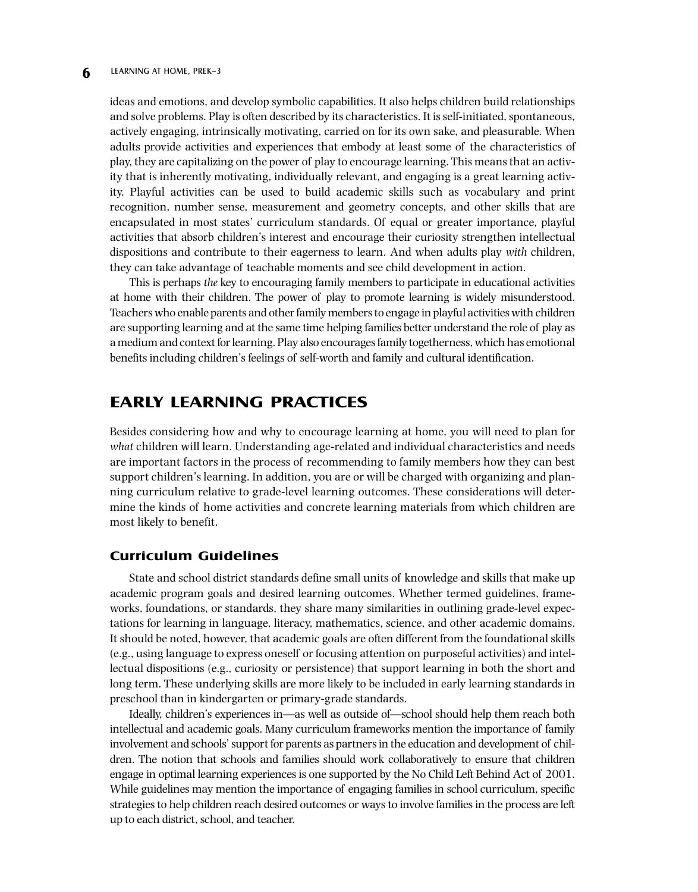#### **6** LEARNING AT HOME, PREK-3

ideas and emotions, and develop symbolic capabilities. It also helps children build relationships and solve problems. Play is often described by its characteristics. It is self-initiated, spontaneous, actively engaging, intrinsically motivating, carried on for its own sake, and pleasurable. When adults provide activities and experiences that embody at least some of the characteristics of play, they are capitalizing on the power of play to encourage learning. This meansthat an activity that is inherently motivating, individually relevant, and engaging is a great learning activity. Playful activities can be used to build academic skills such as vocabulary and print recognition, number sense, measurement and geometry concepts, and other skills that are encapsulated in most states' curriculum standards. Of equal or greater importance, playful activities that absorb children's interest and encourage their curiosity strengthen intellectual dispositions and contribute to their eagerness to learn. And when adults play *with* children, they can take advantage of teachable moments and see child development in action.

This is perhaps *the* key to encouraging family members to participate in educational activities at home with their children. The power of play to promote learning is widely misunderstood. Teachers who enable parents and other family members to engage in playful activities with children are supporting learning and at the same time helping families better understand the role of play as a medium and context for learning. Play also encourages family togetherness, which has emotional benefits including children's feelings of self-worth and family and cultural identification.

# **EARLY LEARNING PRACTICES**

Besides considering how and why to encourage learning at home, you will need to plan for *what* children will learn. Understanding age-related and individual characteristics and needs are important factors in the process of recommending to family members how they can best support children's learning. In addition, you are or will be charged with organizing and planning curriculum relative to grade-level learning outcomes. These considerations will determine the kinds of home activities and concrete learning materials from which children are most likely to benefit.

# **Curriculum Guidelines**

State and school district standards define small units of knowledge and skills that make up academic program goals and desired learning outcomes. Whether termed guidelines, frameworks, foundations, or standards, they share many similarities in outlining grade-level expectations for learning in language, literacy, mathematics, science, and other academic domains. It should be noted, however, that academic goals are often different from the foundational skills (e.g., using language to express oneself or focusing attention on purposeful activities) and intellectual dispositions (e.g., curiosity or persistence) that support learning in both the short and long term. These underlying skills are more likely to be included in early learning standards in preschool than in kindergarten or primary-grade standards.

Ideally, children's experiences in—as well as outside of—school should help them reach both intellectual and academic goals. Many curriculum frameworks mention the importance of family involvement and schools'support for parents as partnersin the education and development of children. The notion that schools and families should work collaboratively to ensure that children engage in optimal learning experiences is one supported by the No Child Left Behind Act of 2001. While guidelines may mention the importance of engaging families in school curriculum, specific strategies to help children reach desired outcomes or ways to involve families in the process are left up to each district, school, and teacher.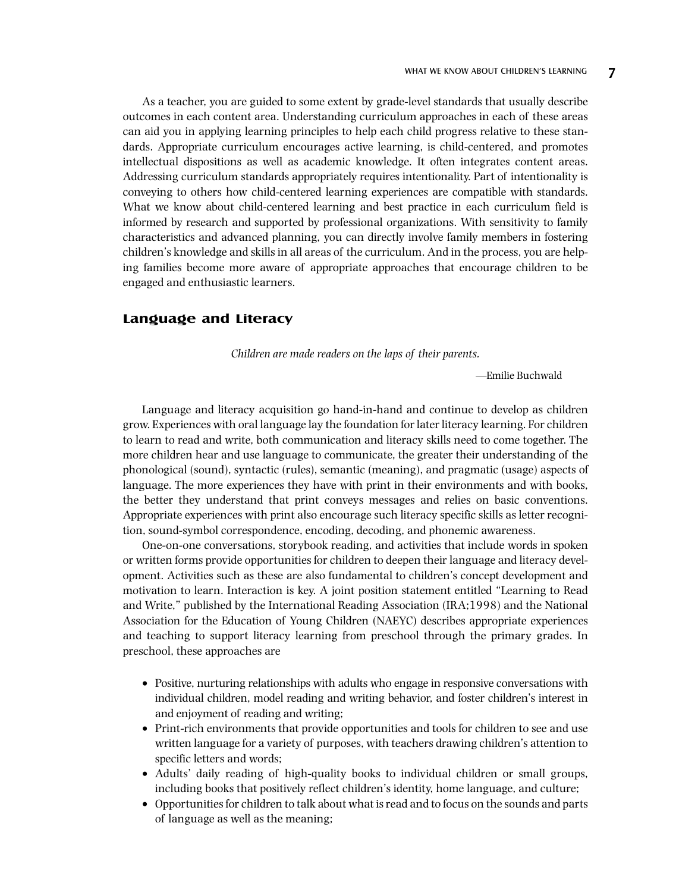As a teacher, you are guided to some extent by grade-level standards that usually describe outcomes in each content area. Understanding curriculum approaches in each of these areas can aid you in applying learning principles to help each child progress relative to these standards. Appropriate curriculum encourages active learning, is child-centered, and promotes intellectual dispositions as well as academic knowledge. It often integrates content areas. Addressing curriculum standards appropriately requires intentionality. Part of intentionality is conveying to others how child-centered learning experiences are compatible with standards. What we know about child-centered learning and best practice in each curriculum field is informed by research and supported by professional organizations. With sensitivity to family characteristics and advanced planning, you can directly involve family members in fostering children's knowledge and skills in all areas of the curriculum. And in the process, you are helping families become more aware of appropriate approaches that encourage children to be engaged and enthusiastic learners.

#### **Language and Literacy**

*Children are made readers on the laps of their parents.*

*—*Emilie Buchwald

Language and literacy acquisition go hand-in-hand and continue to develop as children grow. Experiences with oral language lay the foundation forlaterliteracy learning. For children to learn to read and write, both communication and literacy skills need to come together. The more children hear and use language to communicate, the greater their understanding of the phonological (sound), syntactic (rules), semantic (meaning), and pragmatic (usage) aspects of language. The more experiences they have with print in their environments and with books, the better they understand that print conveys messages and relies on basic conventions. Appropriate experiences with print also encourage such literacy specific skills as letter recognition, sound-symbol correspondence, encoding, decoding, and phonemic awareness.

One-on-one conversations, storybook reading, and activities that include words in spoken or written forms provide opportunities for children to deepen their language and literacy development. Activities such as these are also fundamental to children's concept development and motivation to learn. Interaction is key. A joint position statement entitled "Learning to Read and Write," published by the International Reading Association (IRA;1998) and the National Association for the Education of Young Children (NAEYC) describes appropriate experiences and teaching to support literacy learning from preschool through the primary grades. In preschool, these approaches are

- Positive, nurturing relationships with adults who engage in responsive conversations with individual children, model reading and writing behavior, and foster children's interest in and enjoyment of reading and writing;
- Print-rich environments that provide opportunities and tools for children to see and use written language for a variety of purposes, with teachers drawing children's attention to specific letters and words;
- Adults' daily reading of high-quality books to individual children or small groups, including books that positively reflect children's identity, home language, and culture;
- Opportunities for children to talk about what is read and to focus on the sounds and parts of language as well as the meaning;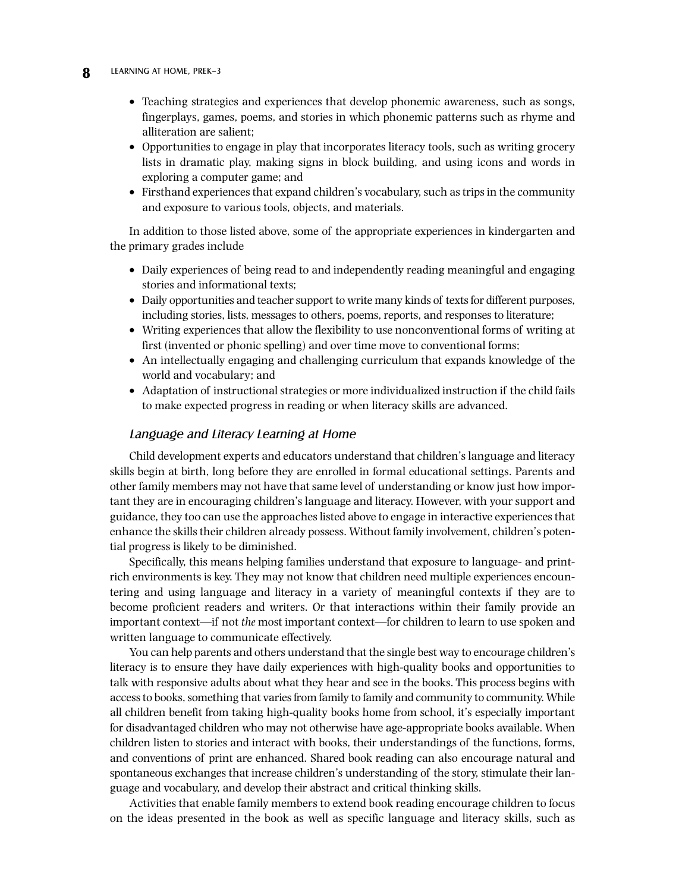- Teaching strategies and experiences that develop phonemic awareness, such as songs, fingerplays, games, poems, and stories in which phonemic patterns such as rhyme and alliteration are salient;
- Opportunities to engage in play that incorporates literacy tools, such as writing grocery lists in dramatic play, making signs in block building, and using icons and words in exploring a computer game; and
- Firsthand experiences that expand children's vocabulary, such as trips in the community and exposure to various tools, objects, and materials.

In addition to those listed above, some of the appropriate experiences in kindergarten and the primary grades include

- Daily experiences of being read to and independently reading meaningful and engaging stories and informational texts;
- Daily opportunities and teacher support to write many kinds of texts for different purposes, including stories, lists, messages to others, poems, reports, and responses to literature;
- Writing experiences that allow the flexibility to use nonconventional forms of writing at first (invented or phonic spelling) and over time move to conventional forms;
- An intellectually engaging and challenging curriculum that expands knowledge of the world and vocabulary; and
- Adaptation of instructional strategies or more individualized instruction if the child fails to make expected progress in reading or when literacy skills are advanced.

## Language and Literacy Learning at Home

Child development experts and educators understand that children's language and literacy skills begin at birth, long before they are enrolled in formal educational settings. Parents and other family members may not have that same level of understanding or know just how important they are in encouraging children's language and literacy. However, with your support and guidance, they too can use the approacheslisted above to engage in interactive experiencesthat enhance the skills their children already possess. Without family involvement, children's potential progress is likely to be diminished.

Specifically, this means helping families understand that exposure to language- and printrich environments is key. They may not know that children need multiple experiences encountering and using language and literacy in a variety of meaningful contexts if they are to become proficient readers and writers. Or that interactions within their family provide an important context—if not *the* most important context—for children to learn to use spoken and written language to communicate effectively.

You can help parents and others understand that the single best way to encourage children's literacy is to ensure they have daily experiences with high-quality books and opportunities to talk with responsive adults about what they hear and see in the books. This process begins with access to books, something that varies from family to family and community to community. While all children benefit from taking high-quality books home from school, it's especially important for disadvantaged children who may not otherwise have age-appropriate books available. When children listen to stories and interact with books, their understandings of the functions, forms, and conventions of print are enhanced. Shared book reading can also encourage natural and spontaneous exchanges that increase children's understanding of the story, stimulate their language and vocabulary, and develop their abstract and critical thinking skills.

Activities that enable family members to extend book reading encourage children to focus on the ideas presented in the book as well as specific language and literacy skills, such as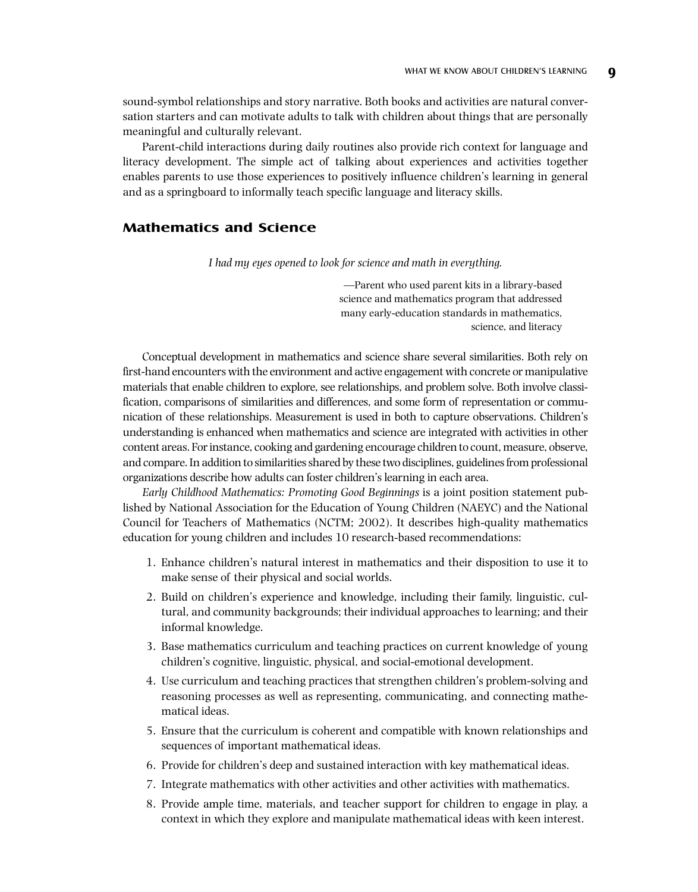sound-symbol relationships and story narrative. Both books and activities are natural conversation starters and can motivate adults to talk with children about things that are personally meaningful and culturally relevant.

Parent-child interactions during daily routines also provide rich context for language and literacy development. The simple act of talking about experiences and activities together enables parents to use those experiences to positively influence children's learning in general and as a springboard to informally teach specific language and literacy skills.

# **Mathematics and Science**

*I had my eyes opened to look for science and math in everything.*

—Parent who used parent kits in a library-based science and mathematics program that addressed many early-education standards in mathematics, science, and literacy

Conceptual development in mathematics and science share several similarities. Both rely on first-hand encounters with the environment and active engagement with concrete or manipulative materials that enable children to explore, see relationships, and problem solve. Both involve classification, comparisons of similarities and differences, and some form of representation or communication of these relationships. Measurement is used in both to capture observations. Children's understanding is enhanced when mathematics and science are integrated with activities in other content areas. Forinstance, cooking and gardening encourage children to count, measure, observe, and compare. In addition to similarities shared by these two disciplines, guidelines from professional organizations describe how adults can foster children's learning in each area.

*Early Childhood Mathematics: Promoting Good Beginnings* is a joint position statement published by National Association for the Education of Young Children (NAEYC) and the National Council for Teachers of Mathematics (NCTM; 2002). It describes high-quality mathematics education for young children and includes 10 research-based recommendations:

- 1. Enhance children's natural interest in mathematics and their disposition to use it to make sense of their physical and social worlds.
- 2. Build on children's experience and knowledge, including their family, linguistic, cultural, and community backgrounds; their individual approaches to learning; and their informal knowledge.
- 3. Base mathematics curriculum and teaching practices on current knowledge of young children's cognitive, linguistic, physical, and social-emotional development.
- 4. Use curriculum and teaching practices that strengthen children's problem-solving and reasoning processes as well as representing, communicating, and connecting mathematical ideas.
- 5. Ensure that the curriculum is coherent and compatible with known relationships and sequences of important mathematical ideas.
- 6. Provide for children's deep and sustained interaction with key mathematical ideas.
- 7. Integrate mathematics with other activities and other activities with mathematics.
- 8. Provide ample time, materials, and teacher support for children to engage in play, a context in which they explore and manipulate mathematical ideas with keen interest.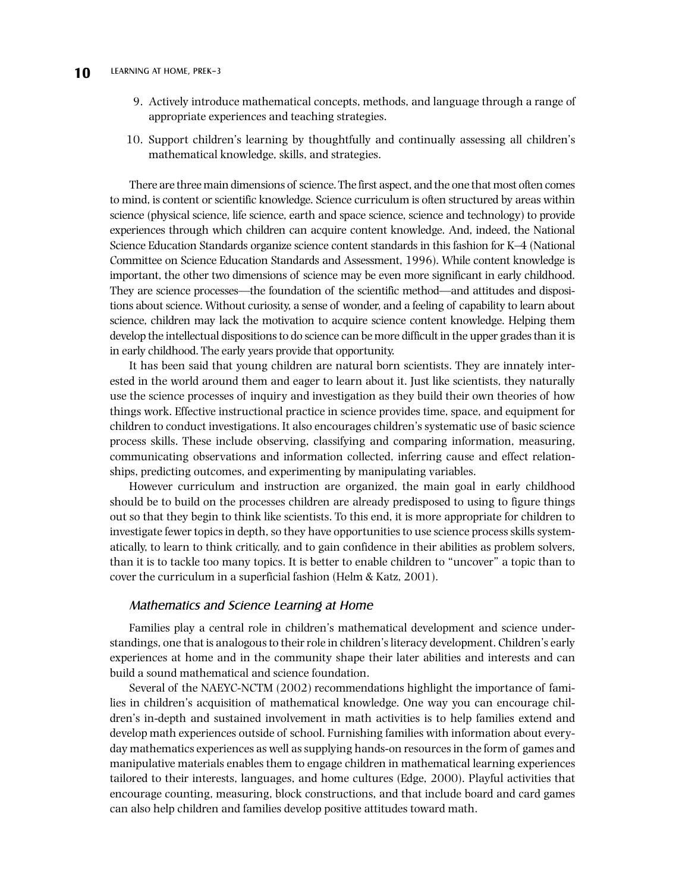#### 10 LEARNING AT HOME, PREK-3

- 9. Actively introduce mathematical concepts, methods, and language through a range of appropriate experiences and teaching strategies.
- 10. Support children's learning by thoughtfully and continually assessing all children's mathematical knowledge, skills, and strategies.

There are three main dimensions of science.The first aspect, and the one that most often comes to mind, is content or scientific knowledge. Science curriculum is often structured by areas within science (physical science, life science, earth and space science, science and technology) to provide experiences through which children can acquire content knowledge. And, indeed, the National Science Education Standards organize science content standards in this fashion for K–4 (National Committee on Science Education Standards and Assessment, 1996). While content knowledge is important, the other two dimensions of science may be even more significant in early childhood. They are science processes—the foundation of the scientific method—and attitudes and dispositions about science. Without curiosity, a sense of wonder, and a feeling of capability to learn about science, children may lack the motivation to acquire science content knowledge. Helping them develop the intellectual dispositions to do science can be more difficult in the upper grades than it is in early childhood. The early years provide that opportunity.

It has been said that young children are natural born scientists. They are innately interested in the world around them and eager to learn about it. Just like scientists, they naturally use the science processes of inquiry and investigation as they build their own theories of how things work. Effective instructional practice in science provides time, space, and equipment for children to conduct investigations. It also encourages children's systematic use of basic science process skills. These include observing, classifying and comparing information, measuring, communicating observations and information collected, inferring cause and effect relationships, predicting outcomes, and experimenting by manipulating variables.

However curriculum and instruction are organized, the main goal in early childhood should be to build on the processes children are already predisposed to using to figure things out so that they begin to think like scientists. To this end, it is more appropriate for children to investigate fewer topics in depth, so they have opportunitiesto use science process skills systematically, to learn to think critically, and to gain confidence in their abilities as problem solvers, than it is to tackle too many topics. It is better to enable children to "uncover" a topic than to cover the curriculum in a superficial fashion (Helm & Katz, 2001).

#### Mathematics and Science Learning at Home

Families play a central role in children's mathematical development and science understandings, one that is analogous to their role in children's literacy development. Children's early experiences at home and in the community shape their later abilities and interests and can build a sound mathematical and science foundation.

Several of the NAEYC-NCTM (2002) recommendations highlight the importance of families in children's acquisition of mathematical knowledge. One way you can encourage children's in-depth and sustained involvement in math activities is to help families extend and develop math experiences outside of school. Furnishing families with information about everyday mathematics experiences as well assupplying hands-on resourcesin the form of games and manipulative materials enables them to engage children in mathematical learning experiences tailored to their interests, languages, and home cultures (Edge, 2000). Playful activities that encourage counting, measuring, block constructions, and that include board and card games can also help children and families develop positive attitudes toward math.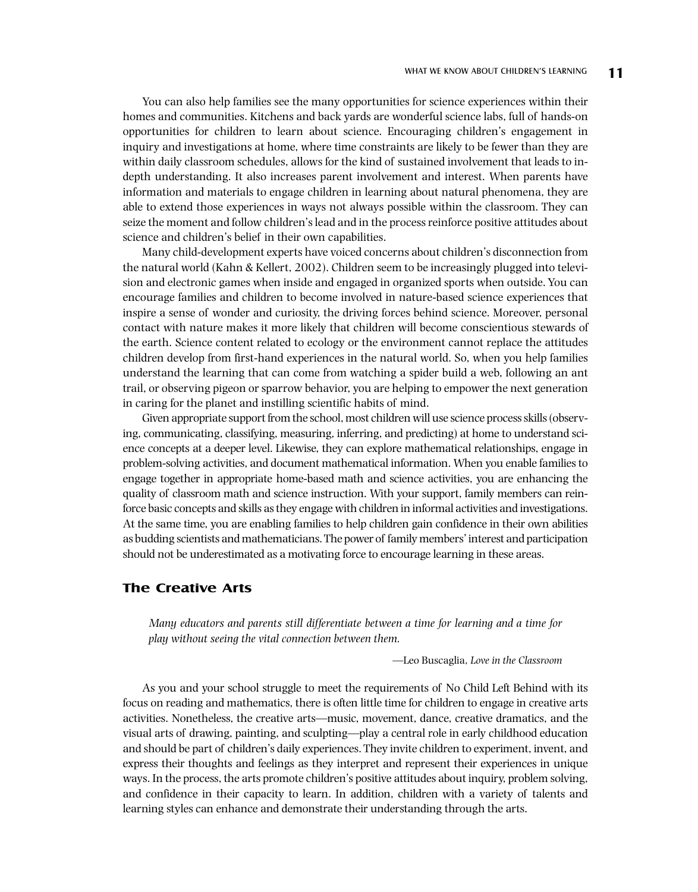You can also help families see the many opportunities for science experiences within their homes and communities. Kitchens and back yards are wonderful science labs, full of hands-on opportunities for children to learn about science. Encouraging children's engagement in inquiry and investigations at home, where time constraints are likely to be fewer than they are within daily classroom schedules, allows for the kind of sustained involvement that leads to indepth understanding. It also increases parent involvement and interest. When parents have information and materials to engage children in learning about natural phenomena, they are able to extend those experiences in ways not always possible within the classroom. They can seize the moment and follow children'slead and in the processreinforce positive attitudes about science and children's belief in their own capabilities.

Many child-development experts have voiced concerns about children's disconnection from the natural world (Kahn & Kellert, 2002). Children seem to be increasingly plugged into television and electronic games when inside and engaged in organized sports when outside.You can encourage families and children to become involved in nature-based science experiences that inspire a sense of wonder and curiosity, the driving forces behind science. Moreover, personal contact with nature makes it more likely that children will become conscientious stewards of the earth. Science content related to ecology or the environment cannot replace the attitudes children develop from first-hand experiences in the natural world. So, when you help families understand the learning that can come from watching a spider build a web, following an ant trail, or observing pigeon or sparrow behavior, you are helping to empower the next generation in caring for the planet and instilling scientific habits of mind.

Given appropriate support from the school, most children will use science process skills (observing, communicating, classifying, measuring, inferring, and predicting) at home to understand science concepts at a deeper level. Likewise, they can explore mathematical relationships, engage in problem-solving activities, and document mathematical information. When you enable families to engage together in appropriate home-based math and science activities, you are enhancing the quality of classroom math and science instruction. With your support, family members can reinforce basic concepts and skills asthey engage with children in informal activities and investigations. At the same time, you are enabling families to help children gain confidence in their own abilities as budding scientists and mathematicians.The power of family members' interest and participation should not be underestimated as a motivating force to encourage learning in these areas.

## **The Creative Arts**

*Many educators and parents still differentiate between a time for learning and a time for play without seeing the vital connection between them.*

—Leo Buscaglia, *Love in the Classroom*

As you and your school struggle to meet the requirements of No Child Left Behind with its focus on reading and mathematics, there is often little time for children to engage in creative arts activities. Nonetheless, the creative arts—music, movement, dance, creative dramatics, and the visual arts of drawing, painting, and sculpting—play a central role in early childhood education and should be part of children's daily experiences. They invite children to experiment, invent, and express their thoughts and feelings as they interpret and represent their experiences in unique ways. In the process, the arts promote children's positive attitudes about inquiry, problem solving, and confidence in their capacity to learn. In addition, children with a variety of talents and learning styles can enhance and demonstrate their understanding through the arts.